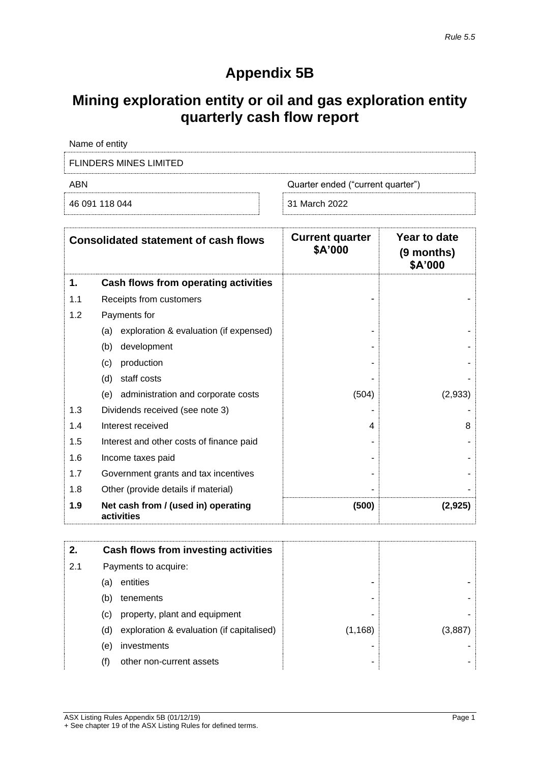## **Appendix 5B**

# **Mining exploration entity or oil and gas exploration entity quarterly cash flow report**

| Name of entity                           |               |  |  |
|------------------------------------------|---------------|--|--|
| FLINDERS MINES LIMITED                   |               |  |  |
| ABN<br>Quarter ended ("current quarter") |               |  |  |
| 46 091 118 044                           | 31 March 2022 |  |  |

|     | <b>Consolidated statement of cash flows</b>       | <b>Current quarter</b><br>\$A'000 | Year to date<br>(9 months)<br>\$A'000 |
|-----|---------------------------------------------------|-----------------------------------|---------------------------------------|
| 1.  | Cash flows from operating activities              |                                   |                                       |
| 1.1 | Receipts from customers                           |                                   |                                       |
| 1.2 | Payments for                                      |                                   |                                       |
|     | exploration & evaluation (if expensed)<br>(a)     |                                   |                                       |
|     | development<br>(b)                                |                                   |                                       |
|     | production<br>(c)                                 |                                   |                                       |
|     | staff costs<br>(d)                                |                                   |                                       |
|     | administration and corporate costs<br>(e)         | (504)                             | (2,933)                               |
| 1.3 | Dividends received (see note 3)                   |                                   |                                       |
| 1.4 | Interest received                                 | 4                                 | 8                                     |
| 1.5 | Interest and other costs of finance paid          |                                   |                                       |
| 1.6 | Income taxes paid                                 |                                   |                                       |
| 1.7 | Government grants and tax incentives              |                                   |                                       |
| 1.8 | Other (provide details if material)               |                                   |                                       |
| 1.9 | Net cash from / (used in) operating<br>activities | (500)                             | (2,925)                               |

| 2.  |     | Cash flows from investing activities      |          |        |
|-----|-----|-------------------------------------------|----------|--------|
| 2.1 |     | Payments to acquire:                      |          |        |
|     | (a) | entities                                  | -        |        |
|     | (b) | tenements                                 | -        |        |
|     | (C) | property, plant and equipment             | -        |        |
|     | (d) | exploration & evaluation (if capitalised) | (1, 168) | (3.887 |
|     | (e) | investments                               | -        |        |
|     | (f) | other non-current assets                  | ۰        |        |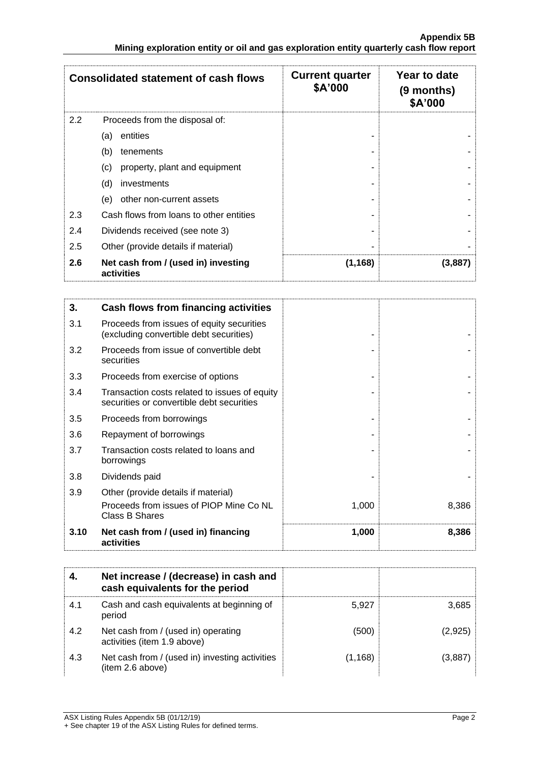|     | <b>Consolidated statement of cash flows</b>       | <b>Current quarter</b><br>\$A'000 | Year to date<br>(9 months)<br>\$A'000 |
|-----|---------------------------------------------------|-----------------------------------|---------------------------------------|
| 2.2 | Proceeds from the disposal of:                    |                                   |                                       |
|     | entities<br>(a)                                   |                                   |                                       |
|     | (b)<br>tenements                                  |                                   |                                       |
|     | property, plant and equipment<br>(c)              |                                   |                                       |
|     | (d)<br>investments                                |                                   |                                       |
|     | other non-current assets<br>(e)                   |                                   |                                       |
| 2.3 | Cash flows from loans to other entities           |                                   |                                       |
| 2.4 | Dividends received (see note 3)                   |                                   |                                       |
| 2.5 | Other (provide details if material)               |                                   |                                       |
| 2.6 | Net cash from / (used in) investing<br>activities | (1, 168)                          | (3,887)                               |

| 3.   | Cash flows from financing activities                                                       |       |       |
|------|--------------------------------------------------------------------------------------------|-------|-------|
| 3.1  | Proceeds from issues of equity securities<br>(excluding convertible debt securities)       |       |       |
| 3.2  | Proceeds from issue of convertible debt<br>securities                                      |       |       |
| 3.3  | Proceeds from exercise of options                                                          |       |       |
| 3.4  | Transaction costs related to issues of equity<br>securities or convertible debt securities |       |       |
| 3.5  | Proceeds from borrowings                                                                   |       |       |
| 3.6  | Repayment of borrowings                                                                    |       |       |
| 3.7  | Transaction costs related to loans and<br>borrowings                                       |       |       |
| 3.8  | Dividends paid                                                                             |       |       |
| 3.9  | Other (provide details if material)                                                        |       |       |
|      | Proceeds from issues of PIOP Mine Co NL<br><b>Class B Shares</b>                           | 1,000 | 8,386 |
| 3.10 | Net cash from / (used in) financing<br>activities                                          | 1,000 | 8,386 |

|     | Net increase / (decrease) in cash and<br>cash equivalents for the period |          |         |
|-----|--------------------------------------------------------------------------|----------|---------|
| 4.1 | Cash and cash equivalents at beginning of<br>period                      | 5.927    | 3,685   |
| 4.2 | Net cash from / (used in) operating<br>activities (item 1.9 above)       | (500)    | (2,925) |
| 4.3 | Net cash from / (used in) investing activities<br>(item 2.6 above)       | (1, 168) | (3.887  |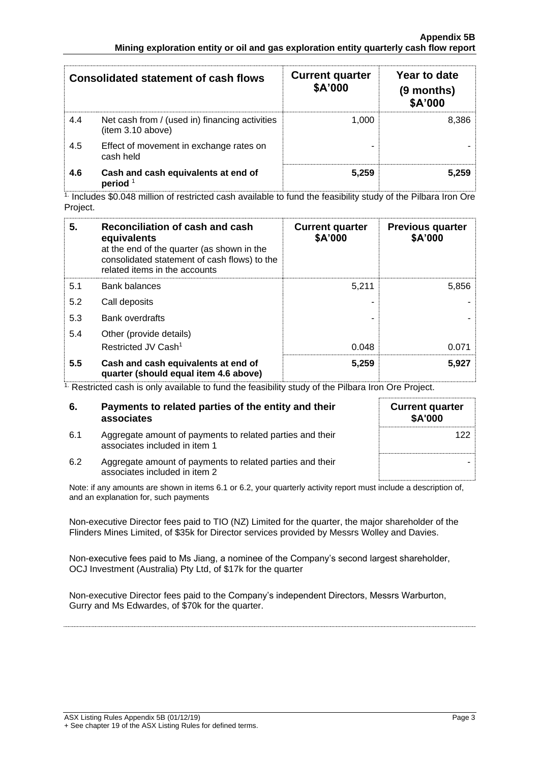|     | <b>Consolidated statement of cash flows</b>                         | <b>Current quarter</b><br>\$A'000 | Year to date<br>(9 months)<br>\$A'000 |
|-----|---------------------------------------------------------------------|-----------------------------------|---------------------------------------|
| 4.4 | Net cash from / (used in) financing activities<br>(item 3.10 above) | 1.000                             | 8.386                                 |
| 4.5 | Effect of movement in exchange rates on<br>cash held                |                                   |                                       |
| 4.6 | Cash and cash equivalents at end of<br>period $1$                   | 5.259                             | 5.259                                 |

1. Includes \$0.048 million of restricted cash available to fund the feasibility study of the Pilbara Iron Ore Project.

| 5.  | Reconciliation of cash and cash<br>equivalents<br>at the end of the quarter (as shown in the<br>consolidated statement of cash flows) to the<br>related items in the accounts | <b>Current quarter</b><br>\$A'000 | <b>Previous quarter</b><br>\$A'000 |
|-----|-------------------------------------------------------------------------------------------------------------------------------------------------------------------------------|-----------------------------------|------------------------------------|
| 5.1 | <b>Bank balances</b>                                                                                                                                                          | 5,211                             | 5,856                              |
| 5.2 | Call deposits                                                                                                                                                                 |                                   |                                    |
| 5.3 | <b>Bank overdrafts</b>                                                                                                                                                        |                                   |                                    |
| 5.4 | Other (provide details)                                                                                                                                                       |                                   |                                    |
|     | Restricted JV Cash <sup>1</sup>                                                                                                                                               | 0.048                             | 0.071                              |
| 5.5 | Cash and cash equivalents at end of<br>quarter (should equal item 4.6 above)                                                                                                  | 5,259                             | 5,927                              |

<sup>1.</sup> Restricted cash is only available to fund the feasibility study of the Pilbara Iron Ore Project.

| 6.  | Payments to related parties of the entity and their<br>associates                          | <b>Current quarter</b><br><b>\$A'000</b> |
|-----|--------------------------------------------------------------------------------------------|------------------------------------------|
| 6.1 | Aggregate amount of payments to related parties and their<br>associates included in item 1 | 122                                      |
| 6.2 | Aggregate amount of payments to related parties and their<br>associates included in item 2 |                                          |

Note: if any amounts are shown in items 6.1 or 6.2, your quarterly activity report must include a description of, and an explanation for, such payments

Non-executive Director fees paid to TIO (NZ) Limited for the quarter, the major shareholder of the Flinders Mines Limited, of \$35k for Director services provided by Messrs Wolley and Davies.

Non-executive fees paid to Ms Jiang, a nominee of the Company's second largest shareholder, OCJ Investment (Australia) Pty Ltd, of \$17k for the quarter

Non-executive Director fees paid to the Company's independent Directors, Messrs Warburton, Gurry and Ms Edwardes, of \$70k for the quarter.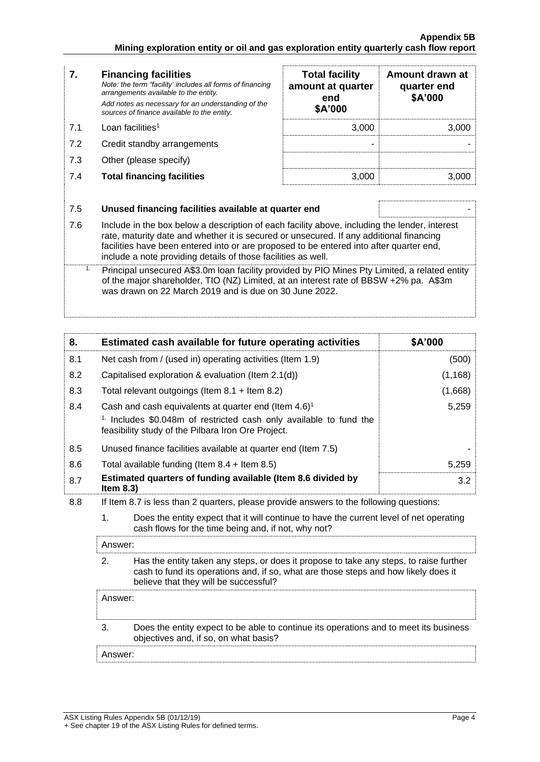| 7.  | <b>Financing facilities</b><br>Note: the term "facility' includes all forms of financing<br>arrangements available to the entity.                                                                                                                                                                                                                    | <b>Total facility</b><br>amount at quarter<br>end | Amount drawn at<br>quarter end<br>\$A'000 |
|-----|------------------------------------------------------------------------------------------------------------------------------------------------------------------------------------------------------------------------------------------------------------------------------------------------------------------------------------------------------|---------------------------------------------------|-------------------------------------------|
|     | Add notes as necessary for an understanding of the<br>sources of finance available to the entity.                                                                                                                                                                                                                                                    | \$A'000                                           |                                           |
| 7.1 | Loan facilities <sup>1</sup>                                                                                                                                                                                                                                                                                                                         | 3,000                                             | 3,000                                     |
| 7.2 | Credit standby arrangements                                                                                                                                                                                                                                                                                                                          |                                                   |                                           |
| 7.3 | Other (please specify)                                                                                                                                                                                                                                                                                                                               |                                                   |                                           |
| 7.4 | <b>Total financing facilities</b>                                                                                                                                                                                                                                                                                                                    | 3,000                                             | 3,000                                     |
|     |                                                                                                                                                                                                                                                                                                                                                      |                                                   |                                           |
| 7.5 | Unused financing facilities available at quarter end                                                                                                                                                                                                                                                                                                 |                                                   |                                           |
| 7.6 | Include in the box below a description of each facility above, including the lender, interest<br>rate, maturity date and whether it is secured or unsecured. If any additional financing<br>facilities have been entered into or are proposed to be entered into after quarter end,<br>include a note providing details of those facilities as well. |                                                   |                                           |

<sup>1.</sup> Principal unsecured A\$3.0m loan facility provided by PIO Mines Pty Limited, a related entity of the major shareholder, TIO (NZ) Limited, at an interest rate of BBSW +2% pa. A\$3m was drawn on 22 March 2019 and is due on 30 June 2022.

| Estimated cash available for future operating activities                                                                    | \$A'000  |
|-----------------------------------------------------------------------------------------------------------------------------|----------|
| Net cash from / (used in) operating activities (Item 1.9)                                                                   | (500)    |
| Capitalised exploration & evaluation (Item 2.1(d))                                                                          | (1, 168) |
| Total relevant outgoings (Item $8.1 +$ Item $8.2$ )                                                                         | (1,668)  |
| Cash and cash equivalents at quarter end (Item $4.6$ ) <sup>1</sup>                                                         | 5,259    |
| $1$ . Includes \$0.048m of restricted cash only available to fund the<br>feasibility study of the Pilbara Iron Ore Project. |          |
| Unused finance facilities available at quarter end (Item 7.5)                                                               |          |
| Total available funding (Item $8.4$ + Item $8.5$ )                                                                          | 5,259    |
| Estimated quarters of funding available (Item 8.6 divided by<br>Item $8.3$ )                                                | 3.2      |
|                                                                                                                             |          |

8.8 If Item 8.7 is less than 2 quarters, please provide answers to the following questions:

1. Does the entity expect that it will continue to have the current level of net operating cash flows for the time being and, if not, why not?

Answer: 2. Has the entity taken any steps, or does it propose to take any steps, to raise further cash to fund its operations and, if so, what are those steps and how likely does it believe that they will be successful?

### Answer:

 $\cdot$ 

3. Does the entity expect to be able to continue its operations and to meet its business objectives and, if so, on what basis?

Answer: